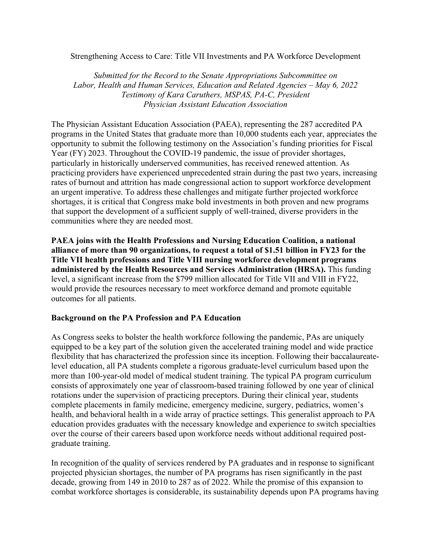## Strengthening Access to Care: Title VII Investments and PA Workforce Development

*Submitted for the Record to the Senate Appropriations Subcommittee on Labor, Health and Human Services, Education and Related Agencies – May 6, 2022 Testimony of Kara Caruthers, MSPAS, PA-C, President Physician Assistant Education Association*

The Physician Assistant Education Association (PAEA), representing the 287 accredited PA programs in the United States that graduate more than 10,000 students each year, appreciates the opportunity to submit the following testimony on the Association's funding priorities for Fiscal Year (FY) 2023. Throughout the COVID-19 pandemic, the issue of provider shortages, particularly in historically underserved communities, has received renewed attention. As practicing providers have experienced unprecedented strain during the past two years, increasing rates of burnout and attrition has made congressional action to support workforce development an urgent imperative. To address these challenges and mitigate further projected workforce shortages, it is critical that Congress make bold investments in both proven and new programs that support the development of a sufficient supply of well-trained, diverse providers in the communities where they are needed most.

**PAEA joins with the Health Professions and Nursing Education Coalition, a national alliance of more than 90 organizations, to request a total of \$1.51 billion in FY23 for the Title VII health professions and Title VIII nursing workforce development programs administered by the Health Resources and Services Administration (HRSA).** This funding level, a significant increase from the \$799 million allocated for Title VII and VIII in FY22, would provide the resources necessary to meet workforce demand and promote equitable outcomes for all patients.

### **Background on the PA Profession and PA Education**

As Congress seeks to bolster the health workforce following the pandemic, PAs are uniquely equipped to be a key part of the solution given the accelerated training model and wide practice flexibility that has characterized the profession since its inception. Following their baccalaureatelevel education, all PA students complete a rigorous graduate-level curriculum based upon the more than 100-year-old model of medical student training. The typical PA program curriculum consists of approximately one year of classroom-based training followed by one year of clinical rotations under the supervision of practicing preceptors. During their clinical year, students complete placements in family medicine, emergency medicine, surgery, pediatrics, women's health, and behavioral health in a wide array of practice settings. This generalist approach to PA education provides graduates with the necessary knowledge and experience to switch specialties over the course of their careers based upon workforce needs without additional required postgraduate training.

In recognition of the quality of services rendered by PA graduates and in response to significant projected physician shortages, the number of PA programs has risen significantly in the past decade, growing from 149 in 2010 to 287 as of 2022. While the promise of this expansion to combat workforce shortages is considerable, its sustainability depends upon PA programs having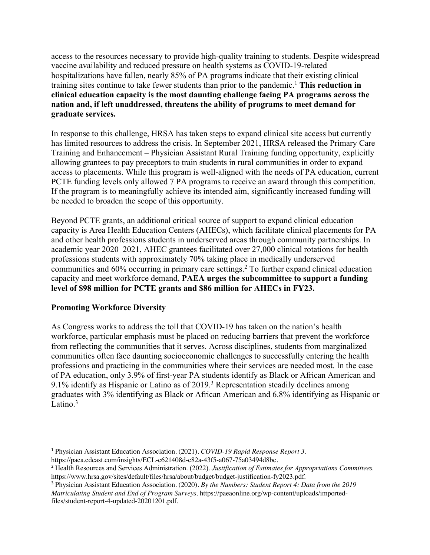access to the resources necessary to provide high-quality training to students. Despite widespread vaccine availability and reduced pressure on health systems as COVID-19-related hospitalizations have fallen, nearly 85% of PA programs indicate that their existing clinical training sites continue to take fewer students than prior to the pandemic.1 **This reduction in clinical education capacity is the most daunting challenge facing PA programs across the nation and, if left unaddressed, threatens the ability of programs to meet demand for graduate services.**

In response to this challenge, HRSA has taken steps to expand clinical site access but currently has limited resources to address the crisis. In September 2021, HRSA released the Primary Care Training and Enhancement – Physician Assistant Rural Training funding opportunity, explicitly allowing grantees to pay preceptors to train students in rural communities in order to expand access to placements. While this program is well-aligned with the needs of PA education, current PCTE funding levels only allowed 7 PA programs to receive an award through this competition. If the program is to meaningfully achieve its intended aim, significantly increased funding will be needed to broaden the scope of this opportunity.

Beyond PCTE grants, an additional critical source of support to expand clinical education capacity is Area Health Education Centers (AHECs), which facilitate clinical placements for PA and other health professions students in underserved areas through community partnerships. In academic year 2020–2021, AHEC grantees facilitated over 27,000 clinical rotations for health professions students with approximately 70% taking place in medically underserved communities and 60% occurring in primary care settings. <sup>2</sup> To further expand clinical education capacity and meet workforce demand, **PAEA urges the subcommittee to support a funding level of \$98 million for PCTE grants and \$86 million for AHECs in FY23.**

# **Promoting Workforce Diversity**

As Congress works to address the toll that COVID-19 has taken on the nation's health workforce, particular emphasis must be placed on reducing barriers that prevent the workforce from reflecting the communities that it serves. Across disciplines, students from marginalized communities often face daunting socioeconomic challenges to successfully entering the health professions and practicing in the communities where their services are needed most. In the case of PA education, only 3.9% of first-year PA students identify as Black or African American and 9.1% identify as Hispanic or Latino as of  $2019$ .<sup>3</sup> Representation steadily declines among graduates with 3% identifying as Black or African American and 6.8% identifying as Hispanic or Latino. $3$ 

<sup>1</sup> Physician Assistant Education Association. (2021). *COVID-19 Rapid Response Report 3*.

https://paea.edcast.com/insights/ECL-c621408d-c82a-43f5-a067-75a03494d8be.

<sup>2</sup> Health Resources and Services Administration. (2022). *Justification of Estimates for Appropriations Committees.* https://www.hrsa.gov/sites/default/files/hrsa/about/budget/budget-justification-fy2023.pdf.

<sup>3</sup> Physician Assistant Education Association. (2020). *By the Numbers: Student Report 4: Data from the 2019 Matriculating Student and End of Program Surveys*. https://paeaonline.org/wp-content/uploads/importedfiles/student-report-4-updated-20201201.pdf.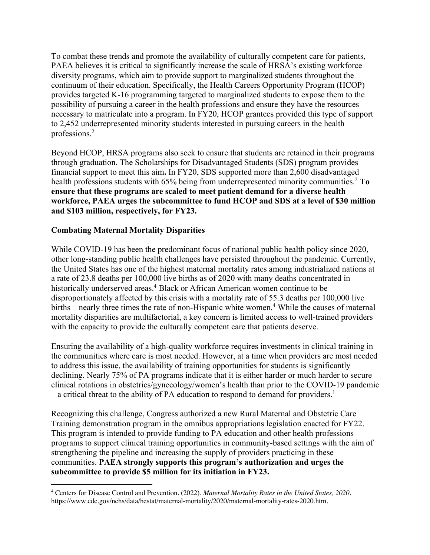To combat these trends and promote the availability of culturally competent care for patients, PAEA believes it is critical to significantly increase the scale of HRSA's existing workforce diversity programs, which aim to provide support to marginalized students throughout the continuum of their education. Specifically, the Health Careers Opportunity Program (HCOP) provides targeted K-16 programming targeted to marginalized students to expose them to the possibility of pursuing a career in the health professions and ensure they have the resources necessary to matriculate into a program. In FY20, HCOP grantees provided this type of support to 2,452 underrepresented minority students interested in pursuing careers in the health professions.2

Beyond HCOP, HRSA programs also seek to ensure that students are retained in their programs through graduation. The Scholarships for Disadvantaged Students (SDS) program provides financial support to meet this aim**.** In FY20, SDS supported more than 2,600 disadvantaged health professions students with 65% being from underrepresented minority communities.<sup>2</sup> To **ensure that these programs are scaled to meet patient demand for a diverse health workforce, PAEA urges the subcommittee to fund HCOP and SDS at a level of \$30 million and \$103 million, respectively, for FY23.**

# **Combating Maternal Mortality Disparities**

While COVID-19 has been the predominant focus of national public health policy since 2020, other long-standing public health challenges have persisted throughout the pandemic. Currently, the United States has one of the highest maternal mortality rates among industrialized nations at a rate of 23.8 deaths per 100,000 live births as of 2020 with many deaths concentrated in historically underserved areas. <sup>4</sup> Black or African American women continue to be disproportionately affected by this crisis with a mortality rate of 55.3 deaths per 100,000 live births – nearly three times the rate of non-Hispanic white women.<sup>4</sup> While the causes of maternal mortality disparities are multifactorial, a key concern is limited access to well-trained providers with the capacity to provide the culturally competent care that patients deserve.

Ensuring the availability of a high-quality workforce requires investments in clinical training in the communities where care is most needed. However, at a time when providers are most needed to address this issue, the availability of training opportunities for students is significantly declining. Nearly 75% of PA programs indicate that it is either harder or much harder to secure clinical rotations in obstetrics/gynecology/women's health than prior to the COVID-19 pandemic  $-$  a critical threat to the ability of PA education to respond to demand for providers.<sup>1</sup>

Recognizing this challenge, Congress authorized a new Rural Maternal and Obstetric Care Training demonstration program in the omnibus appropriations legislation enacted for FY22. This program is intended to provide funding to PA education and other health professions programs to support clinical training opportunities in community-based settings with the aim of strengthening the pipeline and increasing the supply of providers practicing in these communities. **PAEA strongly supports this program's authorization and urges the subcommittee to provide \$5 million for its initiation in FY23.**

<sup>4</sup> Centers for Disease Control and Prevention. (2022). *Maternal Mortality Rates in the United States, 2020.*  https://www.cdc.gov/nchs/data/hestat/maternal-mortality/2020/maternal-mortality-rates-2020.htm.